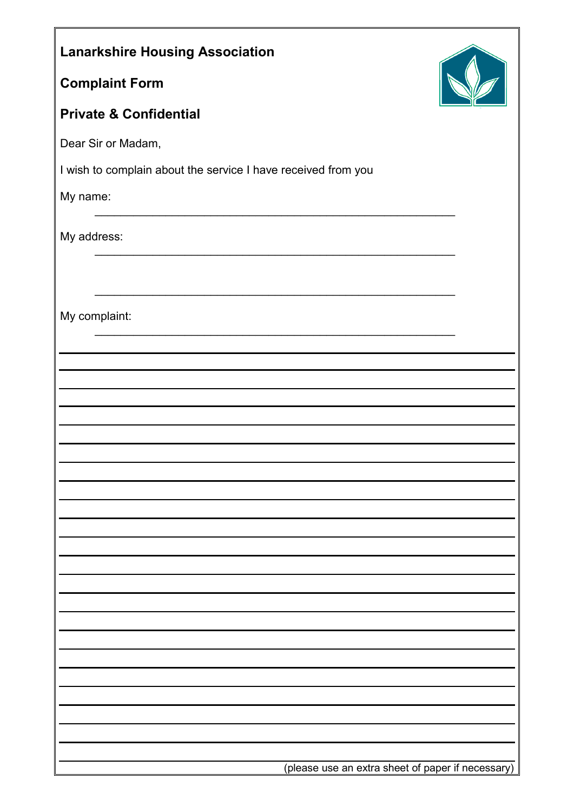| <b>Lanarkshire Housing Association</b>                        |  |
|---------------------------------------------------------------|--|
| <b>Complaint Form</b>                                         |  |
| <b>Private &amp; Confidential</b>                             |  |
| Dear Sir or Madam,                                            |  |
| I wish to complain about the service I have received from you |  |
| My name:                                                      |  |
| My address:                                                   |  |
|                                                               |  |
| My complaint:                                                 |  |
|                                                               |  |
|                                                               |  |
|                                                               |  |
|                                                               |  |
|                                                               |  |
|                                                               |  |
|                                                               |  |
|                                                               |  |
|                                                               |  |
|                                                               |  |
|                                                               |  |
|                                                               |  |
|                                                               |  |
|                                                               |  |
|                                                               |  |
| (please use an extra sheet of paper if necessary)             |  |